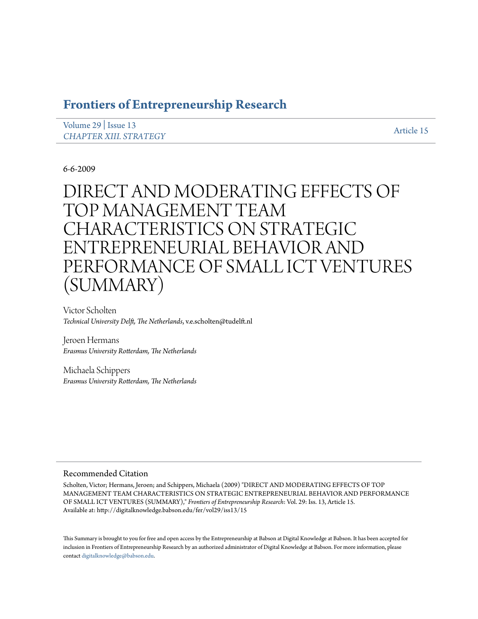# **[Frontiers of Entrepreneurship Research](http://digitalknowledge.babson.edu/fer)**

| Volume 29   Issue 13          | Article 15 |
|-------------------------------|------------|
| <b>CHAPTER XIII. STRATEGY</b> |            |

# 6-6-2009

# DIRECT AND MODERATING EFFECTS OF TOP MANAGEMENT TEAM CHARACTERISTICS ON STRATEGIC ENTREPRENEURIAL BEHAVIOR AND PERFORMANCE OF SMALL ICT VENTURES (SUMMARY)

Victor Scholten *Technical University Delft, The Netherlands*, v.e.scholten@tudelft.nl

Jeroen Hermans *Erasmus University Rotterdam, The Netherlands*

Michaela Schippers *Erasmus University Rotterdam, The Netherlands*

## Recommended Citation

Scholten, Victor; Hermans, Jeroen; and Schippers, Michaela (2009) "DIRECT AND MODERATING EFFECTS OF TOP MANAGEMENT TEAM CHARACTERISTICS ON STRATEGIC ENTREPRENEURIAL BEHAVIOR AND PERFORMANCE OF SMALL ICT VENTURES (SUMMARY)," *Frontiers of Entrepreneurship Research*: Vol. 29: Iss. 13, Article 15. Available at: http://digitalknowledge.babson.edu/fer/vol29/iss13/15

This Summary is brought to you for free and open access by the Entrepreneurship at Babson at Digital Knowledge at Babson. It has been accepted for inclusion in Frontiers of Entrepreneurship Research by an authorized administrator of Digital Knowledge at Babson. For more information, please contact [digitalknowledge@babson.edu](mailto:digitalknowledge@babson.edu).